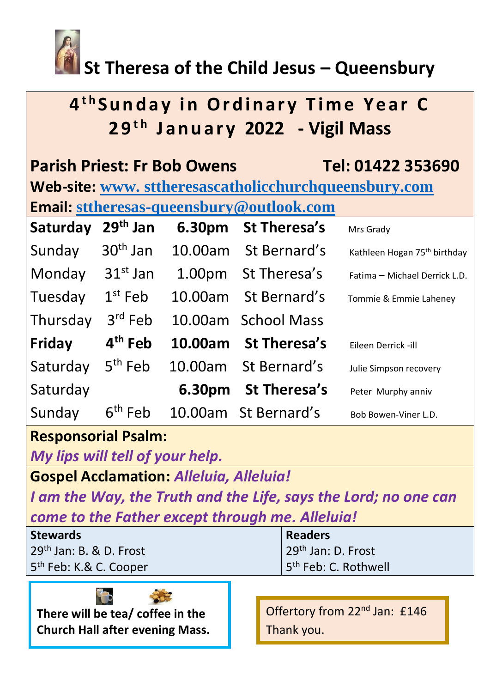

# **St Theresa of the Child Jesus – Queensbury**

# **4 t h S u n d a y i n O r d i n a r y T i m e Y e a r C 2 9t h J a n u a r y 2022 - Vigil Mass**

| <b>Parish Priest: Fr Bob Owens</b><br>Tel: 01422 353690<br>Web-site: www.sttheresascatholicchurchqueensbury.com |                     |            |                      |                                          |  |
|-----------------------------------------------------------------------------------------------------------------|---------------------|------------|----------------------|------------------------------------------|--|
| <b>Email: sttheresas-queensbury@outlook.com</b>                                                                 |                     |            |                      |                                          |  |
| Saturday                                                                                                        | $29th$ Jan          | 6.30pm     | <b>St Theresa's</b>  | Mrs Grady                                |  |
| Sunday                                                                                                          | $30th$ Jan          |            | 10.00am St Bernard's | Kathleen Hogan 75 <sup>th</sup> birthday |  |
| Monday                                                                                                          | $31st$ Jan          |            | 1.00pm St Theresa's  | Fatima - Michael Derrick L.D.            |  |
| Tuesday                                                                                                         | $1st$ Feb           | 10.00am    | St Bernard's         | Tommie & Emmie Laheney                   |  |
| Thursday                                                                                                        | $3rd$ Feb           | 10.00am    | <b>School Mass</b>   |                                          |  |
| Friday                                                                                                          | 4 <sup>th</sup> Feb | $10.00$ am | <b>St Theresa's</b>  | Eileen Derrick -ill                      |  |
| Saturday                                                                                                        | $5th$ Feb           |            | 10.00am St Bernard's | Julie Simpson recovery                   |  |
| Saturday                                                                                                        |                     | 6.30pm     | <b>St Theresa's</b>  | Peter Murphy anniv                       |  |
| Sunday                                                                                                          | $6th$ Feb           |            | 10.00am St Bernard's | Bob Bowen-Viner L.D.                     |  |

## **Responsorial Psalm:**

*My lips will tell of your help.*

**Gospel Acclamation:** *Alleluia, Alleluia!*

*I am the Way, the Truth and the Life, says the Lord; no one can come to the Father except through me. Alleluia!*

| <b>Stewards</b>                    | <b>Readers</b>                   |
|------------------------------------|----------------------------------|
| $29th$ Jan: B. & D. Frost          | 29 <sup>th</sup> Jan: D. Frost   |
| 5 <sup>th</sup> Feb: K.& C. Cooper | 5 <sup>th</sup> Feb: C. Rothwell |



Offertory from 22<sup>nd</sup> Jan: £146 Thank you.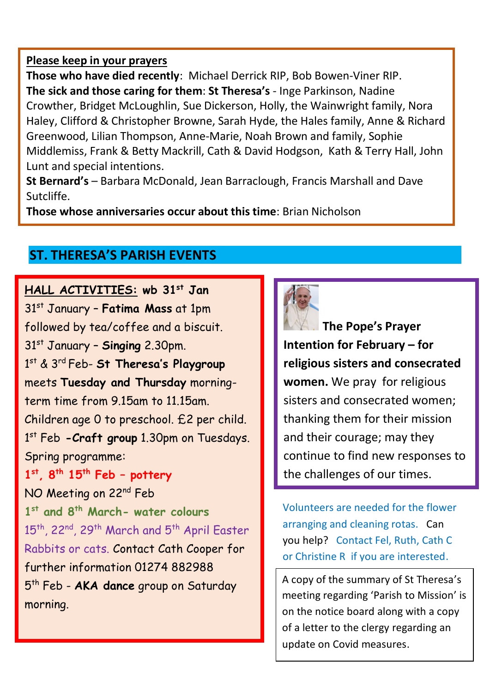#### **Please keep in your prayers**

**Those who have died recently**: Michael Derrick RIP, Bob Bowen-Viner RIP. **The sick and those caring for them**: **St Theresa's** - Inge Parkinson, Nadine Crowther, Bridget McLoughlin, Sue Dickerson, Holly, the Wainwright family, Nora Haley, Clifford & Christopher Browne, Sarah Hyde, the Hales family, Anne & Richard Greenwood, Lilian Thompson, Anne-Marie, Noah Brown and family, Sophie Middlemiss, Frank & Betty Mackrill, Cath & David Hodgson, Kath & Terry Hall, John Lunt and special intentions.

**St Bernard's** – Barbara McDonald, Jean Barraclough, Francis Marshall and Dave Sutcliffe.

**Those whose anniversaries occur about this time**: Brian Nicholson

## **ST. THERESA'S PARISH EVENTS**

**HALL ACTIVITIES: wb 31st Jan**  31st January – **Fatima Mass** at 1pm followed by tea/coffee and a biscuit. 31st January – **Singing** 2.30pm. 1 st & 3rd Feb- **St Theresa's Playgroup** meets **Tuesday and Thursday** morningterm time from 9.15am to 11.15am. Children age 0 to preschool. £2 per child. 1 st Feb **-Craft group** 1.30pm on Tuesdays. Spring programme: **1 st, 8th 15th Feb – pottery**  NO Meeting on 22<sup>nd</sup> Feb **1 st and 8th March- water colours** 15<sup>th</sup>, 22<sup>nd</sup>, 29<sup>th</sup> March and 5<sup>th</sup> April Easter Rabbits or cats. Contact Cath Cooper for further information 01274 882988 5 th Feb - **AKA dance** group on Saturday morning.



**The Pope's Prayer Intention for February – for religious sisters and consecrated women.** We pray for religious sisters and consecrated women; thanking them for their mission and their courage; may they continue to find new responses to the challenges of our times.

Volunteers are needed for the flower arranging and cleaning rotas. Can you help? Contact Fel, Ruth, Cath C or Christine R if you are interested.

 A copy of the summary of St Theresa's meeting regarding 'Parish to Mission' is on the notice board along with a copy of a letter to the clergy regarding an update on Covid measures.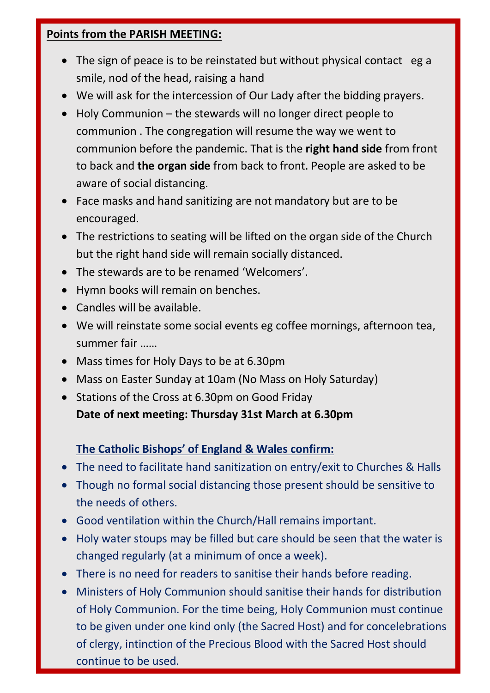#### **Points from the PARISH MEETING:**

- The sign of peace is to be reinstated but without physical contact eg a smile, nod of the head, raising a hand
- We will ask for the intercession of Our Lady after the bidding prayers.
- Holy Communion the stewards will no longer direct people to communion . The congregation will resume the way we went to communion before the pandemic. That is the **right hand side** from front to back and **the organ side** from back to front. People are asked to be aware of social distancing.
- Face masks and hand sanitizing are not mandatory but are to be encouraged.
- The restrictions to seating will be lifted on the organ side of the Church but the right hand side will remain socially distanced.
- The stewards are to be renamed 'Welcomers'.
- Hymn books will remain on benches.
- Candles will be available.
- We will reinstate some social events eg coffee mornings, afternoon tea, summer fair ……
- Mass times for Holy Days to be at 6.30pm
- Mass on Easter Sunday at 10am (No Mass on Holy Saturday)
- Stations of the Cross at 6.30pm on Good Friday **Date of next meeting: Thursday 31st March at 6.30pm**

### **The Catholic Bishops' of England & Wales confirm:**

- The need to facilitate hand sanitization on entry/exit to Churches & Halls
- Though no formal social distancing those present should be sensitive to the needs of others.
- Good ventilation within the Church/Hall remains important.
- Holy water stoups may be filled but care should be seen that the water is changed regularly (at a minimum of once a week).
- There is no need for readers to sanitise their hands before reading.
- Ministers of Holy Communion should sanitise their hands for distribution of Holy Communion. For the time being, Holy Communion must continue to be given under one kind only (the Sacred Host) and for concelebrations of clergy, intinction of the Precious Blood with the Sacred Host should continue to be used.